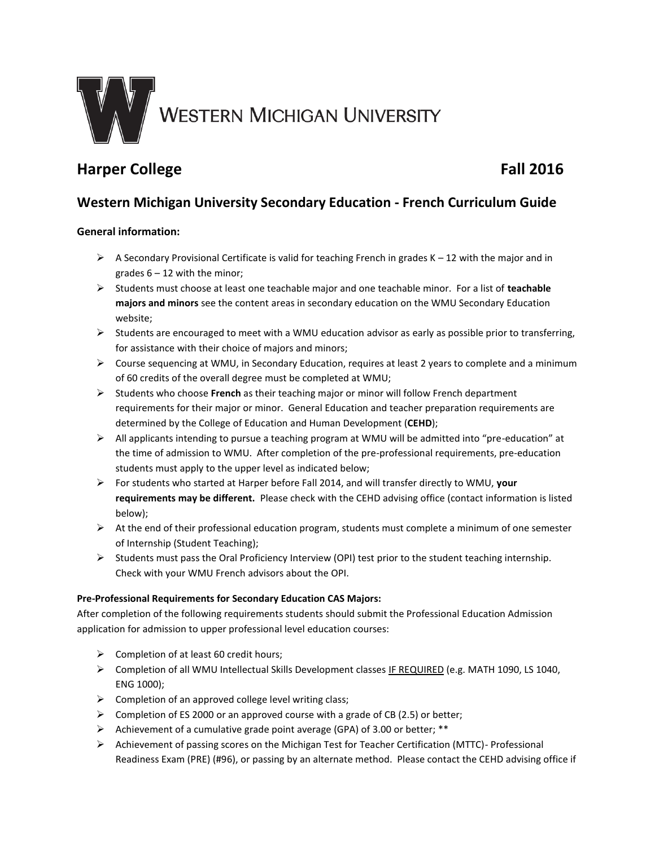

# **Harper College Fall 2016**

# **Western Michigan University Secondary Education - French Curriculum Guide**

# **General information:**

- $\triangleright$  A Secondary Provisional Certificate is valid for teaching French in grades K 12 with the major and in grades  $6 - 12$  with the minor;
- Students must choose at least one teachable major and one teachable minor. For a list of **teachable majors and minors** see the content areas in secondary education on the WMU Secondary Education website;
- $\triangleright$  Students are encouraged to meet with a WMU education advisor as early as possible prior to transferring, for assistance with their choice of majors and minors;
- Course sequencing at WMU, in Secondary Education, requires at least 2 years to complete and a minimum of 60 credits of the overall degree must be completed at WMU;
- Students who choose **French** as their teaching major or minor will follow French department requirements for their major or minor. General Education and teacher preparation requirements are determined by the College of Education and Human Development (**CEHD**);
- $\triangleright$  All applicants intending to pursue a teaching program at WMU will be admitted into "pre-education" at the time of admission to WMU. After completion of the pre-professional requirements, pre-education students must apply to the upper level as indicated below;
- For students who started at Harper before Fall 2014, and will transfer directly to WMU, **your requirements may be different.** Please check with the CEHD advising office (contact information is listed below);
- $\triangleright$  At the end of their professional education program, students must complete a minimum of one semester of Internship (Student Teaching);
- $\triangleright$  Students must pass the Oral Proficiency Interview (OPI) test prior to the student teaching internship. Check with your WMU French advisors about the OPI.

## **Pre-Professional Requirements for Secondary Education CAS Majors:**

After completion of the following requirements students should submit the Professional Education Admission application for admission to upper professional level education courses:

- $\triangleright$  Completion of at least 60 credit hours;
- ▶ Completion of all WMU Intellectual Skills Development classes IF REQUIRED (e.g. MATH 1090, LS 1040, ENG 1000);
- $\triangleright$  Completion of an approved college level writing class;
- $\triangleright$  Completion of ES 2000 or an approved course with a grade of CB (2.5) or better;
- Achievement of a cumulative grade point average (GPA) of 3.00 or better; \*\*
- $\triangleright$  Achievement of passing scores on the Michigan Test for Teacher Certification (MTTC)- Professional Readiness Exam (PRE) (#96), or passing by an alternate method. Please contact the CEHD advising office if